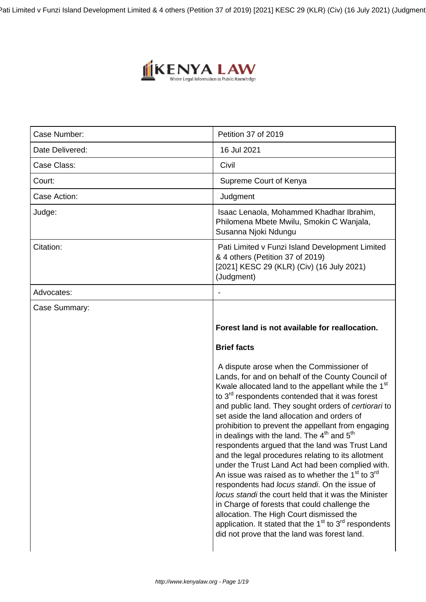Pati Limited v Funzi Island Development Limited & 4 others (Petition 37 of 2019) [2021] KESC 29 (KLR) (Civ) (16 July 2021) (Judgment)



| Case Number:    | Petition 37 of 2019                                                                                                                                                                                                                                                                                                                                                                                                                                                                                                                                                                                                                                                                                                                                                                                                                                                                                                                                                                                                                                 |
|-----------------|-----------------------------------------------------------------------------------------------------------------------------------------------------------------------------------------------------------------------------------------------------------------------------------------------------------------------------------------------------------------------------------------------------------------------------------------------------------------------------------------------------------------------------------------------------------------------------------------------------------------------------------------------------------------------------------------------------------------------------------------------------------------------------------------------------------------------------------------------------------------------------------------------------------------------------------------------------------------------------------------------------------------------------------------------------|
| Date Delivered: | 16 Jul 2021                                                                                                                                                                                                                                                                                                                                                                                                                                                                                                                                                                                                                                                                                                                                                                                                                                                                                                                                                                                                                                         |
| Case Class:     | Civil                                                                                                                                                                                                                                                                                                                                                                                                                                                                                                                                                                                                                                                                                                                                                                                                                                                                                                                                                                                                                                               |
| Court:          | Supreme Court of Kenya                                                                                                                                                                                                                                                                                                                                                                                                                                                                                                                                                                                                                                                                                                                                                                                                                                                                                                                                                                                                                              |
| Case Action:    | Judgment                                                                                                                                                                                                                                                                                                                                                                                                                                                                                                                                                                                                                                                                                                                                                                                                                                                                                                                                                                                                                                            |
| Judge:          | Isaac Lenaola, Mohammed Khadhar Ibrahim,<br>Philomena Mbete Mwilu, Smokin C Wanjala,<br>Susanna Njoki Ndungu                                                                                                                                                                                                                                                                                                                                                                                                                                                                                                                                                                                                                                                                                                                                                                                                                                                                                                                                        |
| Citation:       | Pati Limited v Funzi Island Development Limited<br>& 4 others (Petition 37 of 2019)<br>[2021] KESC 29 (KLR) (Civ) (16 July 2021)<br>(Judgment)                                                                                                                                                                                                                                                                                                                                                                                                                                                                                                                                                                                                                                                                                                                                                                                                                                                                                                      |
| Advocates:      |                                                                                                                                                                                                                                                                                                                                                                                                                                                                                                                                                                                                                                                                                                                                                                                                                                                                                                                                                                                                                                                     |
| Case Summary:   |                                                                                                                                                                                                                                                                                                                                                                                                                                                                                                                                                                                                                                                                                                                                                                                                                                                                                                                                                                                                                                                     |
|                 | Forest land is not available for reallocation.                                                                                                                                                                                                                                                                                                                                                                                                                                                                                                                                                                                                                                                                                                                                                                                                                                                                                                                                                                                                      |
|                 | <b>Brief facts</b>                                                                                                                                                                                                                                                                                                                                                                                                                                                                                                                                                                                                                                                                                                                                                                                                                                                                                                                                                                                                                                  |
|                 | A dispute arose when the Commissioner of<br>Lands, for and on behalf of the County Council of<br>Kwale allocated land to the appellant while the 1 <sup>st</sup><br>to 3 <sup>rd</sup> respondents contended that it was forest<br>and public land. They sought orders of certiorari to<br>set aside the land allocation and orders of<br>prohibition to prevent the appellant from engaging<br>in dealings with the land. The 4 <sup>th</sup> and 5 <sup>th</sup><br>respondents argued that the land was Trust Land<br>and the legal procedures relating to its allotment<br>under the Trust Land Act had been complied with.<br>An issue was raised as to whether the 1 <sup>st</sup> to 3 <sup>rd</sup><br>respondents had locus standi. On the issue of<br>locus standi the court held that it was the Minister<br>in Charge of forests that could challenge the<br>allocation. The High Court dismissed the<br>application. It stated that the 1 <sup>st</sup> to 3 <sup>rd</sup> respondents<br>did not prove that the land was forest land. |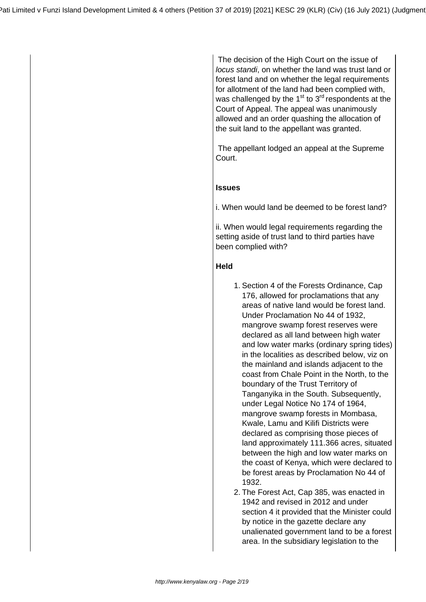The decision of the High Court on the issue of locus standi, on whether the land was trust land or forest land and on whether the legal requirements for allotment of the land had been complied with, was challenged by the  $1<sup>st</sup>$  to  $3<sup>rd</sup>$  respondents at the Court of Appeal. The appeal was unanimously allowed and an order quashing the allocation of the suit land to the appellant was granted.

 The appellant lodged an appeal at the Supreme Court.

# **Issues**

i. When would land be deemed to be forest land?

ii. When would legal requirements regarding the setting aside of trust land to third parties have been complied with?

# **Held**

- 1. Section 4 of the Forests Ordinance, Cap 176, allowed for proclamations that any areas of native land would be forest land. Under Proclamation No 44 of 1932, mangrove swamp forest reserves were declared as all land between high water and low water marks (ordinary spring tides) in the localities as described below, viz on the mainland and islands adjacent to the coast from Chale Point in the North, to the boundary of the Trust Territory of Tanganyika in the South. Subsequently, under Legal Notice No 174 of 1964, mangrove swamp forests in Mombasa, Kwale, Lamu and Kilifi Districts were declared as comprising those pieces of land approximately 111.366 acres, situated between the high and low water marks on the coast of Kenya, which were declared to be forest areas by Proclamation No 44 of 1932.
- 2. The Forest Act, Cap 385, was enacted in 1942 and revised in 2012 and under section 4 it provided that the Minister could by notice in the gazette declare any unalienated government land to be a forest area. In the subsidiary legislation to the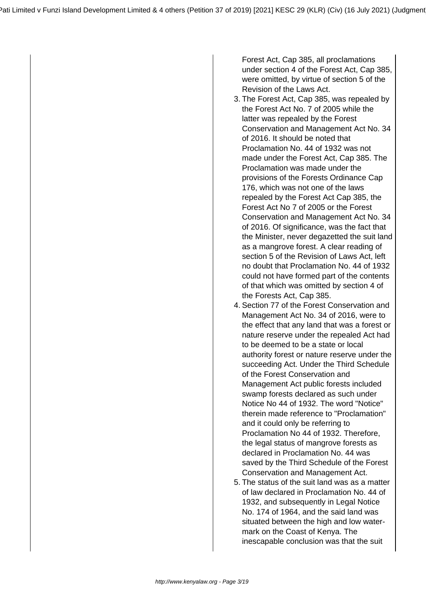Forest Act, Cap 385, all proclamations under section 4 of the Forest Act, Cap 385, were omitted, by virtue of section 5 of the Revision of the Laws Act.

- 3. The Forest Act, Cap 385, was repealed by the Forest Act No. 7 of 2005 while the latter was repealed by the Forest Conservation and Management Act No. 34 of 2016. It should be noted that Proclamation No. 44 of 1932 was not made under the Forest Act, Cap 385. The Proclamation was made under the provisions of the Forests Ordinance Cap 176, which was not one of the laws repealed by the Forest Act Cap 385, the Forest Act No 7 of 2005 or the Forest Conservation and Management Act No. 34 of 2016. Of significance, was the fact that the Minister, never degazetted the suit land as a mangrove forest. A clear reading of section 5 of the Revision of Laws Act, left no doubt that Proclamation No. 44 of 1932 could not have formed part of the contents of that which was omitted by section 4 of the Forests Act, Cap 385.
- 4. Section 77 of the Forest Conservation and Management Act No. 34 of 2016, were to the effect that any land that was a forest or nature reserve under the repealed Act had to be deemed to be a state or local authority forest or nature reserve under the succeeding Act. Under the Third Schedule of the Forest Conservation and Management Act public forests included swamp forests declared as such under Notice No 44 of 1932. The word "Notice" therein made reference to "Proclamation" and it could only be referring to Proclamation No 44 of 1932. Therefore, the legal status of mangrove forests as declared in Proclamation No. 44 was saved by the Third Schedule of the Forest Conservation and Management Act.
- 5. The status of the suit land was as a matter of law declared in Proclamation No. 44 of 1932, and subsequently in Legal Notice No. 174 of 1964, and the said land was situated between the high and low watermark on the Coast of Kenya. The inescapable conclusion was that the suit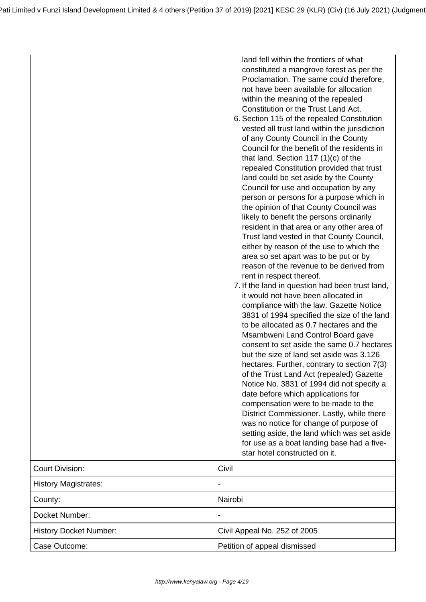|                               | land fell within the frontiers of what<br>constituted a mangrove forest as per the<br>Proclamation. The same could therefore,<br>not have been available for allocation<br>within the meaning of the repealed<br>Constitution or the Trust Land Act.<br>6. Section 115 of the repealed Constitution<br>vested all trust land within the jurisdiction<br>of any County Council in the County<br>Council for the benefit of the residents in<br>that land. Section 117 $(1)(c)$ of the<br>repealed Constitution provided that trust<br>land could be set aside by the County<br>Council for use and occupation by any<br>person or persons for a purpose which in<br>the opinion of that County Council was<br>likely to benefit the persons ordinarily<br>resident in that area or any other area of<br>Trust land vested in that County Council,<br>either by reason of the use to which the<br>area so set apart was to be put or by<br>reason of the revenue to be derived from<br>rent in respect thereof.<br>7. If the land in question had been trust land,<br>it would not have been allocated in<br>compliance with the law. Gazette Notice<br>3831 of 1994 specified the size of the land<br>to be allocated as 0.7 hectares and the<br>Msambweni Land Control Board gave<br>consent to set aside the same 0.7 hectares<br>but the size of land set aside was 3.126<br>hectares. Further, contrary to section 7(3)<br>of the Trust Land Act (repealed) Gazette<br>Notice No. 3831 of 1994 did not specify a<br>date before which applications for<br>compensation were to be made to the<br>District Commissioner. Lastly, while there<br>was no notice for change of purpose of<br>setting aside, the land which was set aside<br>for use as a boat landing base had a five-<br>star hotel constructed on it. |
|-------------------------------|------------------------------------------------------------------------------------------------------------------------------------------------------------------------------------------------------------------------------------------------------------------------------------------------------------------------------------------------------------------------------------------------------------------------------------------------------------------------------------------------------------------------------------------------------------------------------------------------------------------------------------------------------------------------------------------------------------------------------------------------------------------------------------------------------------------------------------------------------------------------------------------------------------------------------------------------------------------------------------------------------------------------------------------------------------------------------------------------------------------------------------------------------------------------------------------------------------------------------------------------------------------------------------------------------------------------------------------------------------------------------------------------------------------------------------------------------------------------------------------------------------------------------------------------------------------------------------------------------------------------------------------------------------------------------------------------------------------------------------------------------------------------------------------------------------------------|
| <b>Court Division:</b>        | Civil                                                                                                                                                                                                                                                                                                                                                                                                                                                                                                                                                                                                                                                                                                                                                                                                                                                                                                                                                                                                                                                                                                                                                                                                                                                                                                                                                                                                                                                                                                                                                                                                                                                                                                                                                                                                                  |
| <b>History Magistrates:</b>   |                                                                                                                                                                                                                                                                                                                                                                                                                                                                                                                                                                                                                                                                                                                                                                                                                                                                                                                                                                                                                                                                                                                                                                                                                                                                                                                                                                                                                                                                                                                                                                                                                                                                                                                                                                                                                        |
| County:                       | Nairobi                                                                                                                                                                                                                                                                                                                                                                                                                                                                                                                                                                                                                                                                                                                                                                                                                                                                                                                                                                                                                                                                                                                                                                                                                                                                                                                                                                                                                                                                                                                                                                                                                                                                                                                                                                                                                |
| Docket Number:                |                                                                                                                                                                                                                                                                                                                                                                                                                                                                                                                                                                                                                                                                                                                                                                                                                                                                                                                                                                                                                                                                                                                                                                                                                                                                                                                                                                                                                                                                                                                                                                                                                                                                                                                                                                                                                        |
| <b>History Docket Number:</b> | Civil Appeal No. 252 of 2005                                                                                                                                                                                                                                                                                                                                                                                                                                                                                                                                                                                                                                                                                                                                                                                                                                                                                                                                                                                                                                                                                                                                                                                                                                                                                                                                                                                                                                                                                                                                                                                                                                                                                                                                                                                           |
| Case Outcome:                 | Petition of appeal dismissed                                                                                                                                                                                                                                                                                                                                                                                                                                                                                                                                                                                                                                                                                                                                                                                                                                                                                                                                                                                                                                                                                                                                                                                                                                                                                                                                                                                                                                                                                                                                                                                                                                                                                                                                                                                           |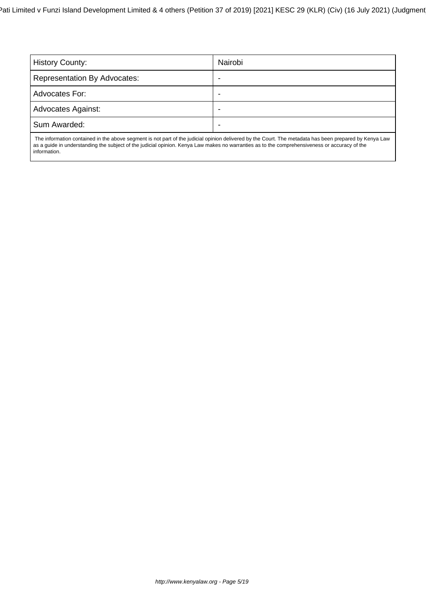| <b>History County:</b>                                                                                                                                     | Nairobi |
|------------------------------------------------------------------------------------------------------------------------------------------------------------|---------|
| <b>Representation By Advocates:</b>                                                                                                                        | ۰       |
| Advocates For:                                                                                                                                             | ۰       |
| <b>Advocates Against:</b>                                                                                                                                  | -       |
| Sum Awarded:                                                                                                                                               |         |
| The information contributed in the whome compact is not need of the indicident actional between the Ocean The measurements have necessarily in IZament and |         |

 The information contained in the above segment is not part of the judicial opinion delivered by the Court. The metadata has been prepared by Kenya Law as a guide in understanding the subject of the judicial opinion. Kenya Law makes no warranties as to the comprehensiveness or accuracy of the information.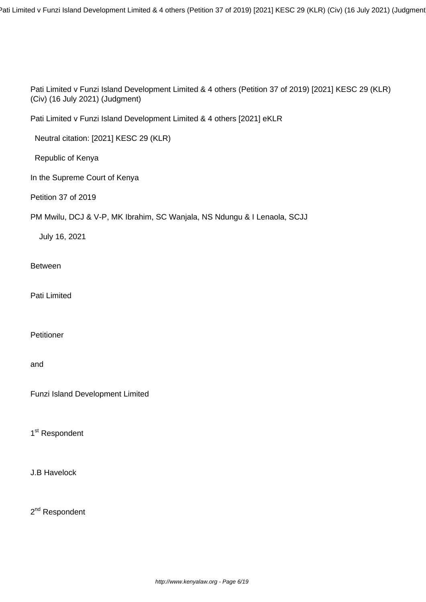Pati Limited v Funzi Island Development Limited & 4 others (Petition 37 of 2019) [2021] KESC 29 (KLR) (Civ) (16 July 2021) (Judgment

Pati Limited v Funzi Island Development Limited & 4 others (Petition 37 of 2019) [2021] KESC 29 (KLR) (Civ) (16 July 2021) (Judgment)

Pati Limited v Funzi Island Development Limited & 4 others [2021] eKLR

Neutral citation: [2021] KESC 29 (KLR)

Republic of Kenya

In the Supreme Court of Kenya

Petition 37 of 2019

PM Mwilu, DCJ & V-P, MK Ibrahim, SC Wanjala, NS Ndungu & I Lenaola, SCJJ

July 16, 2021

Between

Pati Limited

Petitioner

and

Funzi Island Development Limited

1<sup>st</sup> Respondent

J.B Havelock

2<sup>nd</sup> Respondent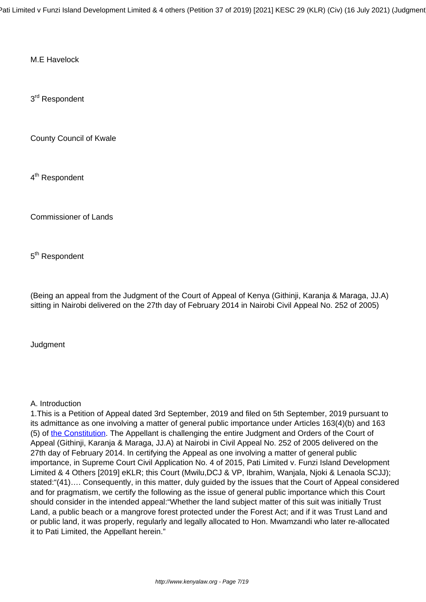Pati Limited v Funzi Island Development Limited & 4 others (Petition 37 of 2019) [2021] KESC 29 (KLR) (Civ) (16 July 2021) (Judgment

M.E Havelock

3<sup>rd</sup> Respondent

County Council of Kwale

4<sup>th</sup> Respondent

Commissioner of Lands

5<sup>th</sup> Respondent

(Being an appeal from the Judgment of the Court of Appeal of Kenya (Githinji, Karanja & Maraga, JJ.A) sitting in Nairobi delivered on the 27th day of February 2014 in Nairobi Civil Appeal No. 252 of 2005)

**Judgment** 

# A. Introduction

1.This is a Petition of Appeal dated 3rd September, 2019 and filed on 5th September, 2019 pursuant to its admittance as one involving a matter of general public importance under Articles 163(4)(b) and 163 (5) of [the Constitution.](http://kenyalaw.org:8181/exist/kenyalex/actview.xql"actid=Const2010) The Appellant is challenging the entire Judgment and Orders of the Court of Appeal (Githinji, Karanja & Maraga, JJ.A) at Nairobi in Civil Appeal No. 252 of 2005 delivered on the 27th day of February 2014. In certifying the Appeal as one involving a matter of general public importance, in Supreme Court Civil Application No. 4 of 2015, Pati Limited v. Funzi Island Development Limited & 4 Others [2019] eKLR; this Court (Mwilu, DCJ & VP, Ibrahim, Wanjala, Njoki & Lenaola SCJJ); stated:"(41)…. Consequently, in this matter, duly guided by the issues that the Court of Appeal considered and for pragmatism, we certify the following as the issue of general public importance which this Court should consider in the intended appeal:"Whether the land subject matter of this suit was initially Trust Land, a public beach or a mangrove forest protected under the Forest Act; and if it was Trust Land and or public land, it was properly, regularly and legally allocated to Hon. Mwamzandi who later re-allocated it to Pati Limited, the Appellant herein."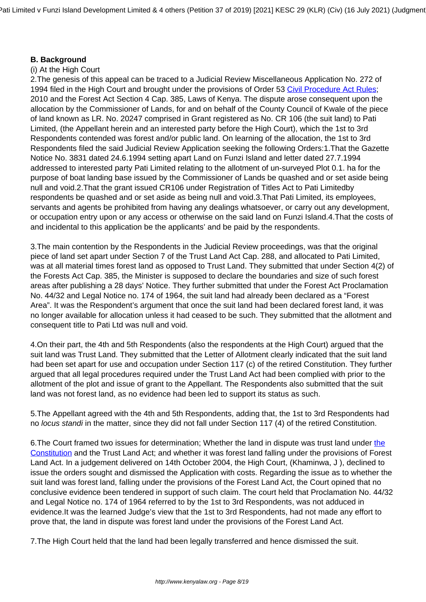# **B. Background**

#### (i) At the High Court

2.The genesis of this appeal can be traced to a Judicial Review Miscellaneous Application No. 272 of 1994 filed in the High Court and brought under the provisions of Order 53 [Civil Procedure Act Rules](http://kenyalaw.org:8181/exist/kenyalex/sublegview.xql"subleg=CAP.%2021); 2010 and the Forest Act Section 4 Cap. 385, Laws of Kenya. The dispute arose consequent upon the allocation by the Commissioner of Lands, for and on behalf of the County Council of Kwale of the piece of land known as LR. No. 20247 comprised in Grant registered as No. CR 106 (the suit land) to Pati Limited, (the Appellant herein and an interested party before the High Court), which the 1st to 3rd Respondents contended was forest and/or public land. On learning of the allocation, the 1st to 3rd Respondents filed the said Judicial Review Application seeking the following Orders:1.That the Gazette Notice No. 3831 dated 24.6.1994 setting apart Land on Funzi Island and letter dated 27.7.1994 addressed to interested party Pati Limited relating to the allotment of un-surveyed Plot 0.1. ha for the purpose of boat landing base issued by the Commissioner of Lands be quashed and or set aside being null and void.2.That the grant issued CR106 under Registration of Titles Act to Pati Limitedby respondents be quashed and or set aside as being null and void.3.That Pati Limited, its employees, servants and agents be prohibited from having any dealings whatsoever, or carry out any development, or occupation entry upon or any access or otherwise on the said land on Funzi Island.4.That the costs of and incidental to this application be the applicants' and be paid by the respondents.

3.The main contention by the Respondents in the Judicial Review proceedings, was that the original piece of land set apart under Section 7 of the Trust Land Act Cap. 288, and allocated to Pati Limited, was at all material times forest land as opposed to Trust Land. They submitted that under Section 4(2) of the Forests Act Cap. 385, the Minister is supposed to declare the boundaries and size of such forest areas after publishing a 28 days' Notice. They further submitted that under the Forest Act Proclamation No. 44/32 and Legal Notice no. 174 of 1964, the suit land had already been declared as a "Forest Area". It was the Respondent's argument that once the suit land had been declared forest land, it was no longer available for allocation unless it had ceased to be such. They submitted that the allotment and consequent title to Pati Ltd was null and void.

4.On their part, the 4th and 5th Respondents (also the respondents at the High Court) argued that the suit land was Trust Land. They submitted that the Letter of Allotment clearly indicated that the suit land had been set apart for use and occupation under Section 117 (c) of the retired Constitution. They further argued that all legal procedures required under the Trust Land Act had been complied with prior to the allotment of the plot and issue of grant to the Appellant. The Respondents also submitted that the suit land was not forest land, as no evidence had been led to support its status as such.

5.The Appellant agreed with the 4th and 5th Respondents, adding that, the 1st to 3rd Respondents had no locus standi in the matter, since they did not fall under Section 117 (4) of the retired Constitution.

6.The Court framed two issues for determination; Whether the land in dispute was trust land under [the](http://kenyalaw.org:8181/exist/kenyalex/actview.xql"actid=Const2010) [Constitution](http://kenyalaw.org:8181/exist/kenyalex/actview.xql"actid=Const2010) and the Trust Land Act; and whether it was forest land falling under the provisions of Forest Land Act. In a judgement delivered on 14th October 2004, the High Court, (Khaminwa, J ), declined to issue the orders sought and dismissed the Application with costs. Regarding the issue as to whether the suit land was forest land, falling under the provisions of the Forest Land Act, the Court opined that no conclusive evidence been tendered in support of such claim. The court held that Proclamation No. 44/32 and Legal Notice no. 174 of 1964 referred to by the 1st to 3rd Respondents, was not adduced in evidence.It was the learned Judge's view that the 1st to 3rd Respondents, had not made any effort to prove that, the land in dispute was forest land under the provisions of the Forest Land Act.

7.The High Court held that the land had been legally transferred and hence dismissed the suit.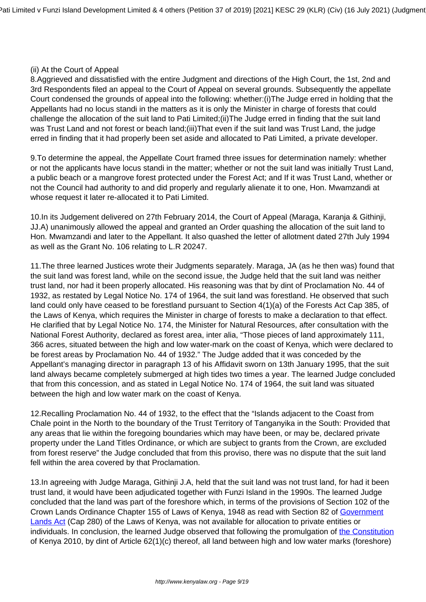#### (ii) At the Court of Appeal

8.Aggrieved and dissatisfied with the entire Judgment and directions of the High Court, the 1st, 2nd and 3rd Respondents filed an appeal to the Court of Appeal on several grounds. Subsequently the appellate Court condensed the grounds of appeal into the following: whether:(i)The Judge erred in holding that the Appellants had no locus standi in the matters as it is only the Minister in charge of forests that could challenge the allocation of the suit land to Pati Limited;(ii)The Judge erred in finding that the suit land was Trust Land and not forest or beach land;(iii)That even if the suit land was Trust Land, the judge erred in finding that it had properly been set aside and allocated to Pati Limited, a private developer.

9.To determine the appeal, the Appellate Court framed three issues for determination namely: whether or not the applicants have locus standi in the matter; whether or not the suit land was initially Trust Land, a public beach or a mangrove forest protected under the Forest Act; and If it was Trust Land, whether or not the Council had authority to and did properly and regularly alienate it to one, Hon. Mwamzandi at whose request it later re-allocated it to Pati Limited.

10.In its Judgement delivered on 27th February 2014, the Court of Appeal (Maraga, Karanja & Githinji, JJ.A) unanimously allowed the appeal and granted an Order quashing the allocation of the suit land to Hon. Mwamzandi and later to the Appellant. It also quashed the letter of allotment dated 27th July 1994 as well as the Grant No. 106 relating to L.R 20247.

11.The three learned Justices wrote their Judgments separately. Maraga, JA (as he then was) found that the suit land was forest land, while on the second issue, the Judge held that the suit land was neither trust land, nor had it been properly allocated. His reasoning was that by dint of Proclamation No. 44 of 1932, as restated by Legal Notice No. 174 of 1964, the suit land was forestland. He observed that such land could only have ceased to be forestland pursuant to Section 4(1)(a) of the Forests Act Cap 385, of the Laws of Kenya, which requires the Minister in charge of forests to make a declaration to that effect. He clarified that by Legal Notice No. 174, the Minister for Natural Resources, after consultation with the National Forest Authority, declared as forest area, inter alia, "Those pieces of land approximately 111, 366 acres, situated between the high and low water-mark on the coast of Kenya, which were declared to be forest areas by Proclamation No. 44 of 1932." The Judge added that it was conceded by the Appellant's managing director in paragraph 13 of his Affidavit sworn on 13th January 1995, that the suit land always became completely submerged at high tides two times a year. The learned Judge concluded that from this concession, and as stated in Legal Notice No. 174 of 1964, the suit land was situated between the high and low water mark on the coast of Kenya.

12.Recalling Proclamation No. 44 of 1932, to the effect that the "Islands adjacent to the Coast from Chale point in the North to the boundary of the Trust Territory of Tanganyika in the South: Provided that any areas that lie within the foregoing boundaries which may have been, or may be, declared private property under the Land Titles Ordinance, or which are subject to grants from the Crown, are excluded from forest reserve" the Judge concluded that from this proviso, there was no dispute that the suit land fell within the area covered by that Proclamation.

13.In agreeing with Judge Maraga, Githinji J.A, held that the suit land was not trust land, for had it been trust land, it would have been adjudicated together with Funzi Island in the 1990s. The learned Judge concluded that the land was part of the foreshore which, in terms of the provisions of Section 102 of the Crown Lands Ordinance Chapter 155 of Laws of Kenya, 1948 as read with Section 82 of [Government](http://www.kenyalaw.org/kl/fileadmin/pdfdownloads/Acts/GovernmentLandsActCap280.pdf) [Lands Act](http://www.kenyalaw.org/kl/fileadmin/pdfdownloads/Acts/GovernmentLandsActCap280.pdf) (Cap 280) of the Laws of Kenya, was not available for allocation to private entities or individuals. In conclusion, the learned Judge observed that following the promulgation of [the Constitution](http://kenyalaw.org:8181/exist/kenyalex/actview.xql"actid=Const2010) of Kenya 2010, by dint of Article 62(1)(c) thereof, all land between high and low water marks (foreshore)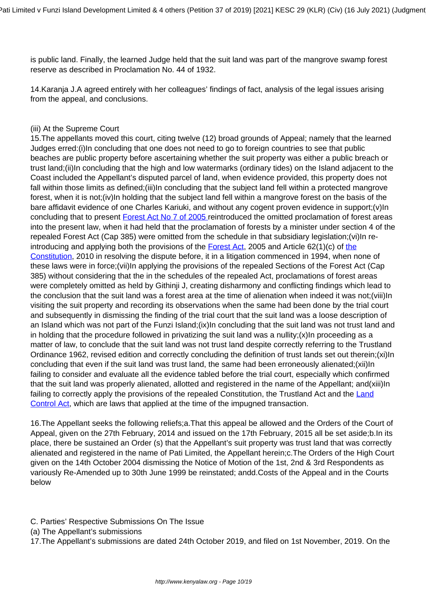is public land. Finally, the learned Judge held that the suit land was part of the mangrove swamp forest reserve as described in Proclamation No. 44 of 1932.

14.Karanja J.A agreed entirely with her colleagues' findings of fact, analysis of the legal issues arising from the appeal, and conclusions.

# (iii) At the Supreme Court

15.The appellants moved this court, citing twelve (12) broad grounds of Appeal; namely that the learned Judges erred:(i)In concluding that one does not need to go to foreign countries to see that public beaches are public property before ascertaining whether the suit property was either a public breach or trust land;(ii)In concluding that the high and low watermarks (ordinary tides) on the Island adjacent to the Coast included the Appellant's disputed parcel of land, when evidence provided, this property does not fall within those limits as defined;(iii)In concluding that the subject land fell within a protected mangrove forest, when it is not;(iv)In holding that the subject land fell within a mangrove forest on the basis of the bare affidavit evidence of one Charles Kariuki, and without any cogent proven evidence in support;(v)In concluding that to present **Forest Act No 7 of 2005** reintroduced the omitted proclamation of forest areas into the present law, when it had held that the proclamation of forests by a minister under section 4 of the repealed Forest Act (Cap 385) were omitted from the schedule in that subsidiary legislation;(vi)In reintroducing and applying both the provisions of the [Forest Act,](http://kenyalaw.org/kl/fileadmin/pdfdownloads/Acts/ForestsAct_No7of2005.pdf) 2005 and Article 62(1)(c) of [the](http://kenyalaw.org:8181/exist/kenyalex/actview.xql"actid=Const2010) [Constitution,](http://kenyalaw.org:8181/exist/kenyalex/actview.xql"actid=Const2010) 2010 in resolving the dispute before, it in a litigation commenced in 1994, when none of these laws were in force;(vii)In applying the provisions of the repealed Sections of the Forest Act (Cap 385) without considering that the in the schedules of the repealed Act, proclamations of forest areas were completely omitted as held by Githinii J, creating disharmony and conflicting findings which lead to the conclusion that the suit land was a forest area at the time of alienation when indeed it was not; (viii)In visiting the suit property and recording its observations when the same had been done by the trial court and subsequently in dismissing the finding of the trial court that the suit land was a loose description of an Island which was not part of the Funzi Island;(ix)In concluding that the suit land was not trust land and in holding that the procedure followed in privatizing the suit land was a nullity;  $(x)$  In proceeding as a matter of law, to conclude that the suit land was not trust land despite correctly referring to the Trustland Ordinance 1962, revised edition and correctly concluding the definition of trust lands set out therein;(xi)In concluding that even if the suit land was trust land, the same had been erroneously alienated;(xii)In failing to consider and evaluate all the evidence tabled before the trial court, especially which confirmed that the suit land was properly alienated, allotted and registered in the name of the Appellant; and(xiii)In failing to correctly apply the provisions of the repealed Constitution, the Trustland Act and the [Land](http://www.kenyalaw.org:8181/exist/kenyalex/actview.xql"actid=CAP.%20302) [Control Act,](http://www.kenyalaw.org:8181/exist/kenyalex/actview.xql"actid=CAP.%20302) which are laws that applied at the time of the impugned transaction.

16.The Appellant seeks the following reliefs;a.That this appeal be allowed and the Orders of the Court of Appeal, given on the 27th February, 2014 and issued on the 17th February, 2015 all be set aside;b.In its place, there be sustained an Order (s) that the Appellant's suit property was trust land that was correctly alienated and registered in the name of Pati Limited, the Appellant herein;c.The Orders of the High Court given on the 14th October 2004 dismissing the Notice of Motion of the 1st, 2nd & 3rd Respondents as variously Re-Amended up to 30th June 1999 be reinstated; andd.Costs of the Appeal and in the Courts below

- C. Parties' Respective Submissions On The Issue
- (a) The Appellant's submissions

17.The Appellant's submissions are dated 24th October 2019, and filed on 1st November, 2019. On the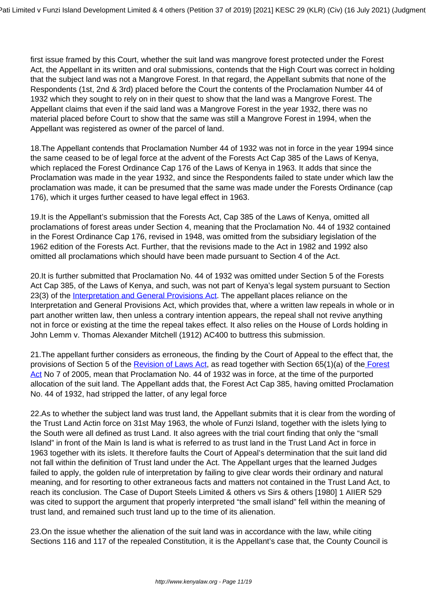first issue framed by this Court, whether the suit land was mangrove forest protected under the Forest Act, the Appellant in its written and oral submissions, contends that the High Court was correct in holding that the subject land was not a Mangrove Forest. In that regard, the Appellant submits that none of the Respondents (1st, 2nd & 3rd) placed before the Court the contents of the Proclamation Number 44 of 1932 which they sought to rely on in their quest to show that the land was a Mangrove Forest. The Appellant claims that even if the said land was a Mangrove Forest in the year 1932, there was no material placed before Court to show that the same was still a Mangrove Forest in 1994, when the Appellant was registered as owner of the parcel of land.

18.The Appellant contends that Proclamation Number 44 of 1932 was not in force in the year 1994 since the same ceased to be of legal force at the advent of the Forests Act Cap 385 of the Laws of Kenya, which replaced the Forest Ordinance Cap 176 of the Laws of Kenya in 1963. It adds that since the Proclamation was made in the year 1932, and since the Respondents failed to state under which law the proclamation was made, it can be presumed that the same was made under the Forests Ordinance (cap 176), which it urges further ceased to have legal effect in 1963.

19.It is the Appellant's submission that the Forests Act, Cap 385 of the Laws of Kenya, omitted all proclamations of forest areas under Section 4, meaning that the Proclamation No. 44 of 1932 contained in the Forest Ordinance Cap 176, revised in 1948, was omitted from the subsidiary legislation of the 1962 edition of the Forests Act. Further, that the revisions made to the Act in 1982 and 1992 also omitted all proclamations which should have been made pursuant to Section 4 of the Act.

20.It is further submitted that Proclamation No. 44 of 1932 was omitted under Section 5 of the Forests Act Cap 385, of the Laws of Kenya, and such, was not part of Kenya's legal system pursuant to Section 23(3) of the [Interpretation and General Provisions Act.](http://kenyalaw.org:8181/exist/kenyalex/actview.xql"actid=CAP.%202) The appellant places reliance on the Interpretation and General Provisions Act, which provides that, where a written law repeals in whole or in part another written law, then unless a contrary intention appears, the repeal shall not revive anything not in force or existing at the time the repeal takes effect. It also relies on the House of Lords holding in John Lemm v. Thomas Alexander Mitchell (1912) AC400 to buttress this submission.

21.The appellant further considers as erroneous, the finding by the Court of Appeal to the effect that, the provisions of Section 5 of the [Revision of Laws Act,](http://www.kenyalaw.org:8181/exist/kenyalex/actview.xql"actid=CAP.%201) as read together with Section 65(1)(a) of th[e Forest](http://kenyalaw.org/kl/fileadmin/pdfdownloads/Acts/ForestsAct_No7of2005.pdf) [Act](http://kenyalaw.org/kl/fileadmin/pdfdownloads/Acts/ForestsAct_No7of2005.pdf) No 7 of 2005, mean that Proclamation No. 44 of 1932 was in force, at the time of the purported allocation of the suit land. The Appellant adds that, the Forest Act Cap 385, having omitted Proclamation No. 44 of 1932, had stripped the latter, of any legal force

22.As to whether the subject land was trust land, the Appellant submits that it is clear from the wording of the Trust Land Actin force on 31st May 1963, the whole of Funzi Island, together with the islets lying to the South were all defined as trust Land. It also agrees with the trial court finding that only the "small Island" in front of the Main Is land is what is referred to as trust land in the Trust Land Act in force in 1963 together with its islets. It therefore faults the Court of Appeal's determination that the suit land did not fall within the definition of Trust land under the Act. The Appellant urges that the learned Judges failed to apply, the golden rule of interpretation by failing to give clear words their ordinary and natural meaning, and for resorting to other extraneous facts and matters not contained in the Trust Land Act, to reach its conclusion. The Case of Duport Steels Limited & others vs Sirs & others [1980] 1 AIIER 529 was cited to support the argument that properly interpreted "the small island" fell within the meaning of trust land, and remained such trust land up to the time of its alienation.

23.On the issue whether the alienation of the suit land was in accordance with the law, while citing Sections 116 and 117 of the repealed Constitution, it is the Appellant's case that, the County Council is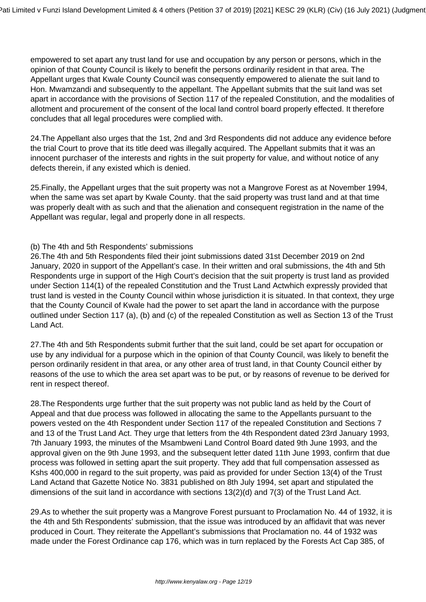empowered to set apart any trust land for use and occupation by any person or persons, which in the opinion of that County Council is likely to benefit the persons ordinarily resident in that area. The Appellant urges that Kwale County Council was consequently empowered to alienate the suit land to Hon. Mwamzandi and subsequently to the appellant. The Appellant submits that the suit land was set apart in accordance with the provisions of Section 117 of the repealed Constitution, and the modalities of allotment and procurement of the consent of the local land control board properly effected. It therefore concludes that all legal procedures were complied with.

24.The Appellant also urges that the 1st, 2nd and 3rd Respondents did not adduce any evidence before the trial Court to prove that its title deed was illegally acquired. The Appellant submits that it was an innocent purchaser of the interests and rights in the suit property for value, and without notice of any defects therein, if any existed which is denied.

25.Finally, the Appellant urges that the suit property was not a Mangrove Forest as at November 1994, when the same was set apart by Kwale County. that the said property was trust land and at that time was properly dealt with as such and that the alienation and consequent registration in the name of the Appellant was regular, legal and properly done in all respects.

# (b) The 4th and 5th Respondents' submissions

26.The 4th and 5th Respondents filed their joint submissions dated 31st December 2019 on 2nd January, 2020 in support of the Appellant's case. In their written and oral submissions, the 4th and 5th Respondents urge in support of the High Court's decision that the suit property is trust land as provided under Section 114(1) of the repealed Constitution and the Trust Land Actwhich expressly provided that trust land is vested in the County Council within whose jurisdiction it is situated. In that context, they urge that the County Council of Kwale had the power to set apart the land in accordance with the purpose outlined under Section 117 (a), (b) and (c) of the repealed Constitution as well as Section 13 of the Trust Land Act.

27.The 4th and 5th Respondents submit further that the suit land, could be set apart for occupation or use by any individual for a purpose which in the opinion of that County Council, was likely to benefit the person ordinarily resident in that area, or any other area of trust land, in that County Council either by reasons of the use to which the area set apart was to be put, or by reasons of revenue to be derived for rent in respect thereof.

28.The Respondents urge further that the suit property was not public land as held by the Court of Appeal and that due process was followed in allocating the same to the Appellants pursuant to the powers vested on the 4th Respondent under Section 117 of the repealed Constitution and Sections 7 and 13 of the Trust Land Act. They urge that letters from the 4th Respondent dated 23rd January 1993, 7th January 1993, the minutes of the Msambweni Land Control Board dated 9th June 1993, and the approval given on the 9th June 1993, and the subsequent letter dated 11th June 1993, confirm that due process was followed in setting apart the suit property. They add that full compensation assessed as Kshs 400,000 in regard to the suit property, was paid as provided for under Section 13(4) of the Trust Land Actand that Gazette Notice No. 3831 published on 8th July 1994, set apart and stipulated the dimensions of the suit land in accordance with sections 13(2)(d) and 7(3) of the Trust Land Act.

29.As to whether the suit property was a Mangrove Forest pursuant to Proclamation No. 44 of 1932, it is the 4th and 5th Respondents' submission, that the issue was introduced by an affidavit that was never produced in Court. They reiterate the Appellant's submissions that Proclamation no. 44 of 1932 was made under the Forest Ordinance cap 176, which was in turn replaced by the Forests Act Cap 385, of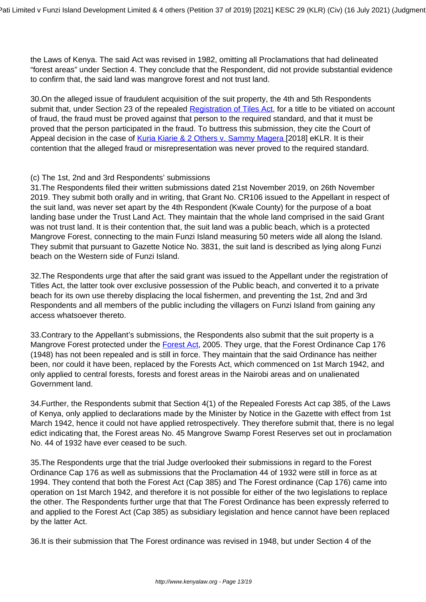the Laws of Kenya. The said Act was revised in 1982, omitting all Proclamations that had delineated "forest areas" under Section 4. They conclude that the Respondent, did not provide substantial evidence to confirm that, the said land was mangrove forest and not trust land.

30.On the alleged issue of fraudulent acquisition of the suit property, the 4th and 5th Respondents submit that, under Section 23 of the repealed [Registration of Tiles Act](http://kenyalaw.org/kl/fileadmin/pdfdownloads/Acts/RegistrationofTitlesCap281.pdf), for a title to be vitiated on account of fraud, the fraud must be proved against that person to the required standard, and that it must be proved that the person participated in the fraud. To buttress this submission, they cite the Court of Appeal decision in the case of [Kuria Kiarie & 2 Others v. Sammy Magera \[](http://kenyalaw.org/caselaw/cases/view/155879/)2018] eKLR. It is their contention that the alleged fraud or misrepresentation was never proved to the required standard.

# (c) The 1st, 2nd and 3rd Respondents' submissions

31.The Respondents filed their written submissions dated 21st November 2019, on 26th November 2019. They submit both orally and in writing, that Grant No. CR106 issued to the Appellant in respect of the suit land, was never set apart by the 4th Respondent (Kwale County) for the purpose of a boat landing base under the Trust Land Act. They maintain that the whole land comprised in the said Grant was not trust land. It is their contention that, the suit land was a public beach, which is a protected Mangrove Forest, connecting to the main Funzi Island measuring 50 meters wide all along the Island. They submit that pursuant to Gazette Notice No. 3831, the suit land is described as lying along Funzi beach on the Western side of Funzi Island.

32.The Respondents urge that after the said grant was issued to the Appellant under the registration of Titles Act, the latter took over exclusive possession of the Public beach, and converted it to a private beach for its own use thereby displacing the local fishermen, and preventing the 1st, 2nd and 3rd Respondents and all members of the public including the villagers on Funzi Island from gaining any access whatsoever thereto.

33.Contrary to the Appellant's submissions, the Respondents also submit that the suit property is a Mangrove Forest protected under the [Forest Act](http://kenyalaw.org/kl/fileadmin/pdfdownloads/Acts/ForestsAct_No7of2005.pdf), 2005. They urge, that the Forest Ordinance Cap 176 (1948) has not been repealed and is still in force. They maintain that the said Ordinance has neither been, nor could it have been, replaced by the Forests Act, which commenced on 1st March 1942, and only applied to central forests, forests and forest areas in the Nairobi areas and on unalienated Government land.

34.Further, the Respondents submit that Section 4(1) of the Repealed Forests Act cap 385, of the Laws of Kenya, only applied to declarations made by the Minister by Notice in the Gazette with effect from 1st March 1942, hence it could not have applied retrospectively. They therefore submit that, there is no legal edict indicating that, the Forest areas No. 45 Mangrove Swamp Forest Reserves set out in proclamation No. 44 of 1932 have ever ceased to be such.

35.The Respondents urge that the trial Judge overlooked their submissions in regard to the Forest Ordinance Cap 176 as well as submissions that the Proclamation 44 of 1932 were still in force as at 1994. They contend that both the Forest Act (Cap 385) and The Forest ordinance (Cap 176) came into operation on 1st March 1942, and therefore it is not possible for either of the two legislations to replace the other. The Respondents further urge that that The Forest Ordinance has been expressly referred to and applied to the Forest Act (Cap 385) as subsidiary legislation and hence cannot have been replaced by the latter Act.

36.It is their submission that The Forest ordinance was revised in 1948, but under Section 4 of the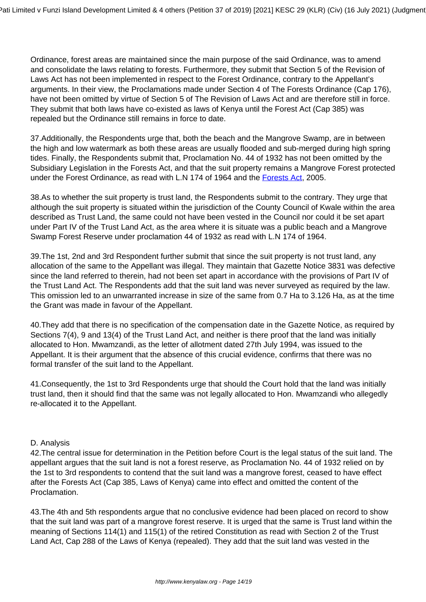Ordinance, forest areas are maintained since the main purpose of the said Ordinance, was to amend and consolidate the laws relating to forests. Furthermore, they submit that Section 5 of the Revision of Laws Act has not been implemented in respect to the Forest Ordinance, contrary to the Appellant's arguments. In their view, the Proclamations made under Section 4 of The Forests Ordinance (Cap 176), have not been omitted by virtue of Section 5 of The Revision of Laws Act and are therefore still in force. They submit that both laws have co-existed as laws of Kenya until the Forest Act (Cap 385) was repealed but the Ordinance still remains in force to date.

37.Additionally, the Respondents urge that, both the beach and the Mangrove Swamp, are in between the high and low watermark as both these areas are usually flooded and sub-merged during high spring tides. Finally, the Respondents submit that, Proclamation No. 44 of 1932 has not been omitted by the Subsidiary Legislation in the Forests Act, and that the suit property remains a Mangrove Forest protected under the Forest Ordinance, as read with L.N 174 of 1964 and the [Forests Act](http://kenyalaw.org/kl/fileadmin/pdfdownloads/Acts/ForestsAct_No7of2005.pdf), 2005.

38.As to whether the suit property is trust land, the Respondents submit to the contrary. They urge that although the suit property is situated within the jurisdiction of the County Council of Kwale within the area described as Trust Land, the same could not have been vested in the Council nor could it be set apart under Part IV of the Trust Land Act, as the area where it is situate was a public beach and a Mangrove Swamp Forest Reserve under proclamation 44 of 1932 as read with L.N 174 of 1964.

39.The 1st, 2nd and 3rd Respondent further submit that since the suit property is not trust land, any allocation of the same to the Appellant was illegal. They maintain that Gazette Notice 3831 was defective since the land referred to therein, had not been set apart in accordance with the provisions of Part IV of the Trust Land Act. The Respondents add that the suit land was never surveyed as required by the law. This omission led to an unwarranted increase in size of the same from 0.7 Ha to 3.126 Ha, as at the time the Grant was made in favour of the Appellant.

40.They add that there is no specification of the compensation date in the Gazette Notice, as required by Sections 7(4), 9 and 13(4) of the Trust Land Act, and neither is there proof that the land was initially allocated to Hon. Mwamzandi, as the letter of allotment dated 27th July 1994, was issued to the Appellant. It is their argument that the absence of this crucial evidence, confirms that there was no formal transfer of the suit land to the Appellant.

41.Consequently, the 1st to 3rd Respondents urge that should the Court hold that the land was initially trust land, then it should find that the same was not legally allocated to Hon. Mwamzandi who allegedly re-allocated it to the Appellant.

# D. Analysis

42.The central issue for determination in the Petition before Court is the legal status of the suit land. The appellant argues that the suit land is not a forest reserve, as Proclamation No. 44 of 1932 relied on by the 1st to 3rd respondents to contend that the suit land was a mangrove forest, ceased to have effect after the Forests Act (Cap 385, Laws of Kenya) came into effect and omitted the content of the Proclamation.

43.The 4th and 5th respondents argue that no conclusive evidence had been placed on record to show that the suit land was part of a mangrove forest reserve. It is urged that the same is Trust land within the meaning of Sections 114(1) and 115(1) of the retired Constitution as read with Section 2 of the Trust Land Act, Cap 288 of the Laws of Kenya (repealed). They add that the suit land was vested in the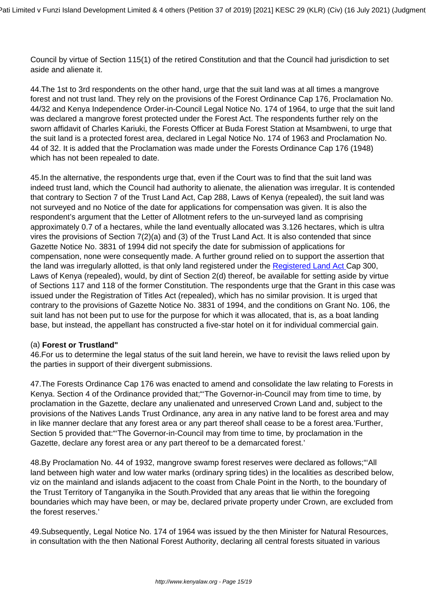Council by virtue of Section 115(1) of the retired Constitution and that the Council had jurisdiction to set aside and alienate it.

44.The 1st to 3rd respondents on the other hand, urge that the suit land was at all times a mangrove forest and not trust land. They rely on the provisions of the Forest Ordinance Cap 176, Proclamation No. 44/32 and Kenya Independence Order-in-Council Legal Notice No. 174 of 1964, to urge that the suit land was declared a mangrove forest protected under the Forest Act. The respondents further rely on the sworn affidavit of Charles Kariuki, the Forests Officer at Buda Forest Station at Msambweni, to urge that the suit land is a protected forest area, declared in Legal Notice No. 174 of 1963 and Proclamation No. 44 of 32. It is added that the Proclamation was made under the Forests Ordinance Cap 176 (1948) which has not been repealed to date.

45.In the alternative, the respondents urge that, even if the Court was to find that the suit land was indeed trust land, which the Council had authority to alienate, the alienation was irregular. It is contended that contrary to Section 7 of the Trust Land Act, Cap 288, Laws of Kenya (repealed), the suit land was not surveyed and no Notice of the date for applications for compensation was given. It is also the respondent's argument that the Letter of Allotment refers to the un-surveyed land as comprising approximately 0.7 of a hectares, while the land eventually allocated was 3.126 hectares, which is ultra vires the provisions of Section 7(2)(a) and (3) of the Trust Land Act. It is also contended that since Gazette Notice No. 3831 of 1994 did not specify the date for submission of applications for compensation, none were consequently made. A further ground relied on to support the assertion that the land was irregularly allotted, is that only land registered under the [Registered Land Act C](http://kenyalaw.org/kl/fileadmin/pdfdownloads/Acts/RegisteredLandActCap300.pdf)ap 300, Laws of Kenya (repealed), would, by dint of Section 2(d) thereof, be available for setting aside by virtue of Sections 117 and 118 of the former Constitution. The respondents urge that the Grant in this case was issued under the Registration of Titles Act (repealed), which has no similar provision. It is urged that contrary to the provisions of Gazette Notice No. 3831 of 1994, and the conditions on Grant No. 106, the suit land has not been put to use for the purpose for which it was allocated, that is, as a boat landing base, but instead, the appellant has constructed a five-star hotel on it for individual commercial gain.

# (a) **Forest or Trustland"**

46.For us to determine the legal status of the suit land herein, we have to revisit the laws relied upon by the parties in support of their divergent submissions.

47.The Forests Ordinance Cap 176 was enacted to amend and consolidate the law relating to Forests in Kenya. Section 4 of the Ordinance provided that;"'The Governor-in-Council may from time to time, by proclamation in the Gazette, declare any unalienated and unreserved Crown Land and, subject to the provisions of the Natives Lands Trust Ordinance, any area in any native land to be forest area and may in like manner declare that any forest area or any part thereof shall cease to be a forest area.'Further, Section 5 provided that: "The Governor-in-Council may from time to time, by proclamation in the Gazette, declare any forest area or any part thereof to be a demarcated forest.'

48.By Proclamation No. 44 of 1932, mangrove swamp forest reserves were declared as follows;"'All land between high water and low water marks (ordinary spring tides) in the localities as described below, viz on the mainland and islands adjacent to the coast from Chale Point in the North, to the boundary of the Trust Territory of Tanganyika in the South.Provided that any areas that lie within the foregoing boundaries which may have been, or may be, declared private property under Crown, are excluded from the forest reserves.'

49.Subsequently, Legal Notice No. 174 of 1964 was issued by the then Minister for Natural Resources, in consultation with the then National Forest Authority, declaring all central forests situated in various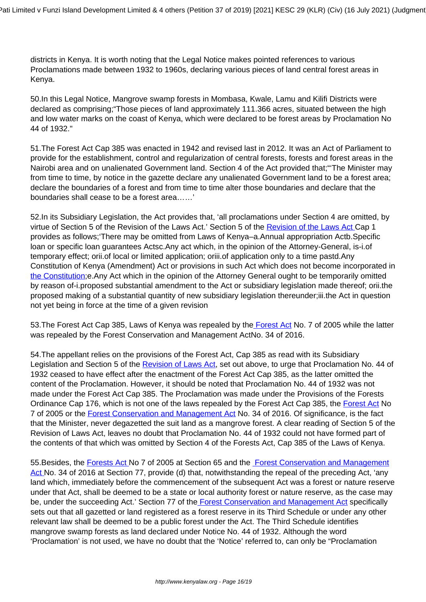districts in Kenya. It is worth noting that the Legal Notice makes pointed references to various Proclamations made between 1932 to 1960s, declaring various pieces of land central forest areas in Kenya.

50.In this Legal Notice, Mangrove swamp forests in Mombasa, Kwale, Lamu and Kilifi Districts were declared as comprising;"Those pieces of land approximately 111.366 acres, situated between the high and low water marks on the coast of Kenya, which were declared to be forest areas by Proclamation No 44 of 1932."

51.The Forest Act Cap 385 was enacted in 1942 and revised last in 2012. It was an Act of Parliament to provide for the establishment, control and regularization of central forests, forests and forest areas in the Nairobi area and on unalienated Government land. Section 4 of the Act provided that;"'The Minister may from time to time, by notice in the gazette declare any unalienated Government land to be a forest area; declare the boundaries of a forest and from time to time alter those boundaries and declare that the boundaries shall cease to be a forest area……'

52.In its Subsidiary Legislation, the Act provides that, 'all proclamations under Section 4 are omitted, by virtue of Section 5 of the Revision of the Laws Act.' Section 5 of the [Revision of the Laws Act](http://www.kenyalaw.org:8181/exist/kenyalex/actview.xql"actid=CAP.%201) Cap 1 provides as follows;'There may be omitted from Laws of Kenya–a.Annual appropriation Actb.Specific loan or specific loan guarantees Actsc.Any act which, in the opinion of the Attorney-General, is-i.of temporary effect; orii.of local or limited application; oriii.of application only to a time pastd.Any Constitution of Kenya (Amendment) Act or provisions in such Act which does not become incorporated in [the Constitution;](http://kenyalaw.org:8181/exist/kenyalex/actview.xql"actid=Const2010) e. Any Act which in the opinion of the Attorney General ought to be temporarily omitted by reason of-i.proposed substantial amendment to the Act or subsidiary legislation made thereof; orii.the proposed making of a substantial quantity of new subsidiary legislation thereunder;iii.the Act in question not yet being in force at the time of a given revision

53.The Forest Act Cap 385, Laws of Kenya was repealed by th[e Forest Act](http://kenyalaw.org/kl/fileadmin/pdfdownloads/Acts/ForestsAct_No7of2005.pdf) No. 7 of 2005 while the latter was repealed by the Forest Conservation and Management ActNo. 34 of 2016.

54.The appellant relies on the provisions of the Forest Act, Cap 385 as read with its Subsidiary Legislation and Section 5 of the [Revision of Laws Act](http://www.kenyalaw.org:8181/exist/kenyalex/actview.xql"actid=CAP.%201), set out above, to urge that Proclamation No. 44 of 1932 ceased to have effect after the enactment of the Forest Act Cap 385, as the latter omitted the content of the Proclamation. However, it should be noted that Proclamation No. 44 of 1932 was not made under the Forest Act Cap 385. The Proclamation was made under the Provisions of the Forests Ordinance Cap 176, which is not one of the laws repealed by the [Forest Act](http://kenyalaw.org/kl/fileadmin/pdfdownloads/Acts/ForestsAct_No7of2005.pdf) Cap 385, the Forest Act No 7 of 2005 or the [Forest Conservation and Management Act](http://www.kenyalaw.org:8181/exist/kenyalex/actview.xql"actid=No.%2034%20of%202016) No. 34 of 2016. Of significance, is the fact that the Minister, never degazetted the suit land as a mangrove forest. A clear reading of Section 5 of the Revision of Laws Act, leaves no doubt that Proclamation No. 44 of 1932 could not have formed part of the contents of that which was omitted by Section 4 of the Forests Act, Cap 385 of the Laws of Kenya.

55.Besides, the [Forests Act](http://kenyalaw.org/kl/fileadmin/pdfdownloads/Acts/ForestsAct_No7of2005.pdf) No 7 of 2005 at Section 65 and the [Forest Conservation and Management](http://www.kenyalaw.org:8181/exist/kenyalex/actview.xql"actid=No.%2034%20of%202016) [Act](http://www.kenyalaw.org:8181/exist/kenyalex/actview.xql"actid=No.%2034%20of%202016) No. 34 of 2016 at Section 77, provide (d) that, notwithstanding the repeal of the preceding Act, 'any land which, immediately before the commencement of the subsequent Act was a forest or nature reserve under that Act, shall be deemed to be a state or local authority forest or nature reserve, as the case may be, under the succeeding Act.' Section 77 of th[e Forest Conservation and Management Act](http://www.kenyalaw.org:8181/exist/kenyalex/actview.xql"actid=No.%2034%20of%202016) specifically sets out that all gazetted or land registered as a forest reserve in its Third Schedule or under any other relevant law shall be deemed to be a public forest under the Act. The Third Schedule identifies mangrove swamp forests as land declared under Notice No. 44 of 1932. Although the word 'Proclamation' is not used, we have no doubt that the 'Notice' referred to, can only be "Proclamation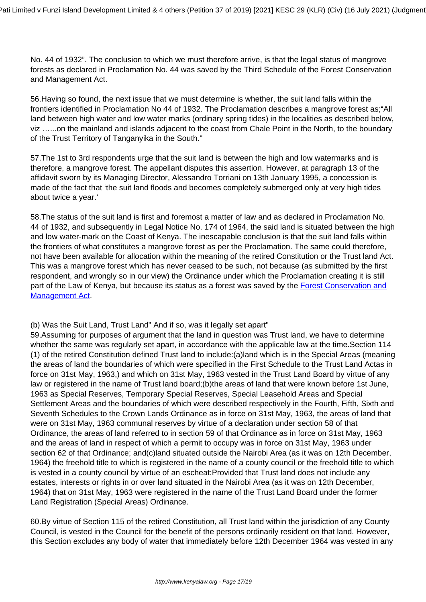No. 44 of 1932". The conclusion to which we must therefore arrive, is that the legal status of mangrove forests as declared in Proclamation No. 44 was saved by the Third Schedule of the Forest Conservation and Management Act.

56.Having so found, the next issue that we must determine is whether, the suit land falls within the frontiers identified in Proclamation No 44 of 1932. The Proclamation describes a mangrove forest as;"All land between high water and low water marks (ordinary spring tides) in the localities as described below, viz …...on the mainland and islands adjacent to the coast from Chale Point in the North, to the boundary of the Trust Territory of Tanganyika in the South."

57.The 1st to 3rd respondents urge that the suit land is between the high and low watermarks and is therefore, a mangrove forest. The appellant disputes this assertion. However, at paragraph 13 of the affidavit sworn by its Managing Director, Alessandro Torriani on 13th January 1995, a concession is made of the fact that 'the suit land floods and becomes completely submerged only at very high tides about twice a year.'

58.The status of the suit land is first and foremost a matter of law and as declared in Proclamation No. 44 of 1932, and subsequently in Legal Notice No. 174 of 1964, the said land is situated between the high and low water-mark on the Coast of Kenya. The inescapable conclusion is that the suit land falls within the frontiers of what constitutes a mangrove forest as per the Proclamation. The same could therefore, not have been available for allocation within the meaning of the retired Constitution or the Trust land Act. This was a mangrove forest which has never ceased to be such, not because (as submitted by the first respondent, and wrongly so in our view) the Ordinance under which the Proclamation creating it is still part of the Law of Kenya, but because its status as a forest was saved by the [Forest Conservation and](http://www.kenyalaw.org:8181/exist/kenyalex/actview.xql"actid=No.%2034%20of%202016) [Management Act.](http://www.kenyalaw.org:8181/exist/kenyalex/actview.xql"actid=No.%2034%20of%202016)

(b) Was the Suit Land, Trust Land" And if so, was it legally set apart"

59.Assuming for purposes of argument that the land in question was Trust land, we have to determine whether the same was regularly set apart, in accordance with the applicable law at the time. Section 114 (1) of the retired Constitution defined Trust land to include:(a)land which is in the Special Areas (meaning the areas of land the boundaries of which were specified in the First Schedule to the Trust Land Actas in force on 31st May, 1963,) and which on 31st May, 1963 vested in the Trust Land Board by virtue of any law or registered in the name of Trust land board;(b)the areas of land that were known before 1st June, 1963 as Special Reserves, Temporary Special Reserves, Special Leasehold Areas and Special Settlement Areas and the boundaries of which were described respectively in the Fourth, Fifth, Sixth and Seventh Schedules to the Crown Lands Ordinance as in force on 31st May, 1963, the areas of land that were on 31st May, 1963 communal reserves by virtue of a declaration under section 58 of that Ordinance, the areas of land referred to in section 59 of that Ordinance as in force on 31st May, 1963 and the areas of land in respect of which a permit to occupy was in force on 31st May, 1963 under section 62 of that Ordinance; and(c)land situated outside the Nairobi Area (as it was on 12th December, 1964) the freehold title to which is registered in the name of a county council or the freehold title to which is vested in a county council by virtue of an escheat:Provided that Trust land does not include any estates, interests or rights in or over land situated in the Nairobi Area (as it was on 12th December, 1964) that on 31st May, 1963 were registered in the name of the Trust Land Board under the former Land Registration (Special Areas) Ordinance.

60.By virtue of Section 115 of the retired Constitution, all Trust land within the jurisdiction of any County Council, is vested in the Council for the benefit of the persons ordinarily resident on that land. However, this Section excludes any body of water that immediately before 12th December 1964 was vested in any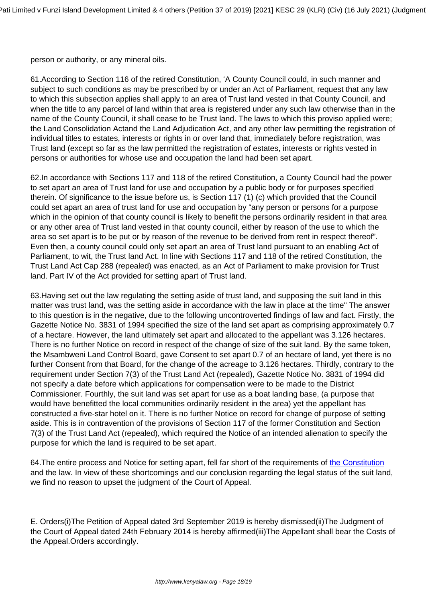person or authority, or any mineral oils.

61.According to Section 116 of the retired Constitution, 'A County Council could, in such manner and subject to such conditions as may be prescribed by or under an Act of Parliament, request that any law to which this subsection applies shall apply to an area of Trust land vested in that County Council, and when the title to any parcel of land within that area is registered under any such law otherwise than in the name of the County Council, it shall cease to be Trust land. The laws to which this proviso applied were; the Land Consolidation Actand the Land Adjudication Act, and any other law permitting the registration of individual titles to estates, interests or rights in or over land that, immediately before registration, was Trust land (except so far as the law permitted the registration of estates, interests or rights vested in persons or authorities for whose use and occupation the land had been set apart.

62.In accordance with Sections 117 and 118 of the retired Constitution, a County Council had the power to set apart an area of Trust land for use and occupation by a public body or for purposes specified therein. Of significance to the issue before us, is Section 117 (1) (c) which provided that the Council could set apart an area of trust land for use and occupation by "any person or persons for a purpose which in the opinion of that county council is likely to benefit the persons ordinarily resident in that area or any other area of Trust land vested in that county council, either by reason of the use to which the area so set apart is to be put or by reason of the revenue to be derived from rent in respect thereof". Even then, a county council could only set apart an area of Trust land pursuant to an enabling Act of Parliament, to wit, the Trust land Act. In line with Sections 117 and 118 of the retired Constitution, the Trust Land Act Cap 288 (repealed) was enacted, as an Act of Parliament to make provision for Trust land. Part IV of the Act provided for setting apart of Trust land.

63.Having set out the law regulating the setting aside of trust land, and supposing the suit land in this matter was trust land, was the setting aside in accordance with the law in place at the time" The answer to this question is in the negative, due to the following uncontroverted findings of law and fact. Firstly, the Gazette Notice No. 3831 of 1994 specified the size of the land set apart as comprising approximately 0.7 of a hectare. However, the land ultimately set apart and allocated to the appellant was 3.126 hectares. There is no further Notice on record in respect of the change of size of the suit land. By the same token, the Msambweni Land Control Board, gave Consent to set apart 0.7 of an hectare of land, yet there is no further Consent from that Board, for the change of the acreage to 3.126 hectares. Thirdly, contrary to the requirement under Section 7(3) of the Trust Land Act (repealed), Gazette Notice No. 3831 of 1994 did not specify a date before which applications for compensation were to be made to the District Commissioner. Fourthly, the suit land was set apart for use as a boat landing base, (a purpose that would have benefitted the local communities ordinarily resident in the area) yet the appellant has constructed a five-star hotel on it. There is no further Notice on record for change of purpose of setting aside. This is in contravention of the provisions of Section 117 of the former Constitution and Section 7(3) of the Trust Land Act (repealed), which required the Notice of an intended alienation to specify the purpose for which the land is required to be set apart.

64.The entire process and Notice for setting apart, fell far short of the requirements of [the Constitution](http://kenyalaw.org:8181/exist/kenyalex/actview.xql"actid=Const2010) and the law. In view of these shortcomings and our conclusion regarding the legal status of the suit land, we find no reason to upset the judgment of the Court of Appeal.

E. Orders(i)The Petition of Appeal dated 3rd September 2019 is hereby dismissed(ii)The Judgment of the Court of Appeal dated 24th February 2014 is hereby affirmed(iii)The Appellant shall bear the Costs of the Appeal.Orders accordingly.